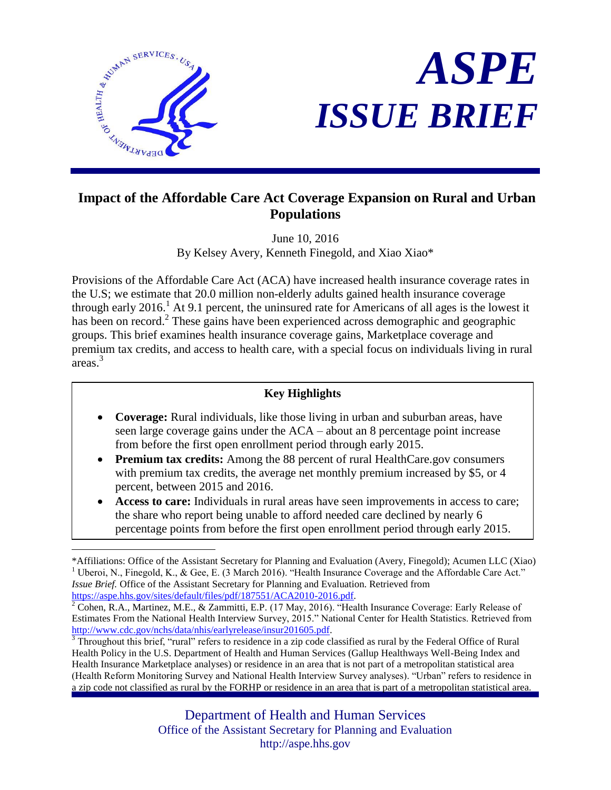

 $\overline{a}$ 



# **Impact of the Affordable Care Act Coverage Expansion on Rural and Urban Populations**

June 10, 2016 By Kelsey Avery, Kenneth Finegold, and Xiao Xiao\*

Provisions of the Affordable Care Act (ACA) have increased health insurance coverage rates in the U.S; we estimate that 20.0 million non-elderly adults gained health insurance coverage through early 2016.<sup>1</sup> At 9.1 percent, the uninsured rate for Americans of all ages is the lowest it has been on record.<sup>2</sup> These gains have been experienced across demographic and geographic groups. This brief examines health insurance coverage gains, Marketplace coverage and premium tax credits, and access to health care, with a special focus on individuals living in rural areas. 3

## **Key Highlights**

- **Coverage:** Rural individuals, like those living in urban and suburban areas, have seen large coverage gains under the ACA – about an 8 percentage point increase from before the first open enrollment period through early 2015.
- **Premium tax credits:** Among the 88 percent of rural HealthCare.gov consumers with premium tax credits, the average net monthly premium increased by \$5, or 4 percent, between 2015 and 2016.
- **Access to care:** Individuals in rural areas have seen improvements in access to care; the share who report being unable to afford needed care declined by nearly 6 percentage points from before the first open enrollment period through early 2015.

<sup>\*</sup>Affiliations: Office of the Assistant Secretary for Planning and Evaluation (Avery, Finegold); Acumen LLC (Xiao) <sup>1</sup> Uberoi, N., Finegold, K., & Gee, E. (3 March 2016). "Health Insurance Coverage and the Affordable Care Act." *Issue Brief.* Office of the Assistant Secretary for Planning and Evaluation. Retrieved from [https://aspe.hhs.gov/sites/default/files/pdf/187551/ACA2010-2016.pdf.](https://aspe.hhs.gov/sites/default/files/pdf/187551/ACA2010-2016.pdf)

 $2^2$  Cohen, R.A., Martinez, M.E., & Zammitti, E.P. (17 May, 2016). "Health Insurance Coverage: Early Release of Estimates From the National Health Interview Survey, 2015." National Center for Health Statistics. Retrieved from [http://www.cdc.gov/nchs/data/nhis/earlyrelease/insur201605.pdf.](http://www.cdc.gov/nchs/data/nhis/earlyrelease/insur201605.pdf)

 $3$  Throughout this brief, "rural" refers to residence in a zip code classified as rural by the Federal Office of Rural Health Policy in the U.S. Department of Health and Human Services (Gallup Healthways Well-Being Index and Health Insurance Marketplace analyses) or residence in an area that is not part of a metropolitan statistical area (Health Reform Monitoring Survey and National Health Interview Survey analyses). "Urban" refers to residence in a zip code not classified as rural by the FORHP or residence in an area that is part of a metropolitan statistical area.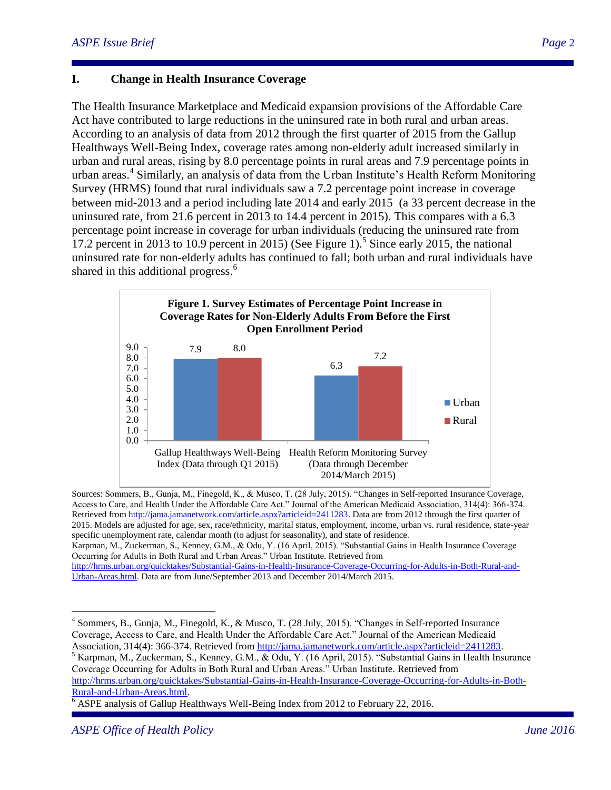## **I. Change in Health Insurance Coverage**

The Health Insurance Marketplace and Medicaid expansion provisions of the Affordable Care Act have contributed to large reductions in the uninsured rate in both rural and urban areas. According to an analysis of data from 2012 through the first quarter of 2015 from the Gallup Healthways Well-Being Index, coverage rates among non-elderly adult increased similarly in urban and rural areas, rising by 8.0 percentage points in rural areas and 7.9 percentage points in urban areas. 4 Similarly, an analysis of data from the Urban Institute's Health Reform Monitoring Survey (HRMS) found that rural individuals saw a 7.2 percentage point increase in coverage between mid-2013 and a period including late 2014 and early 2015 (a 33 percent decrease in the uninsured rate, from 21.6 percent in 2013 to 14.4 percent in 2015). This compares with a 6.3 percentage point increase in coverage for urban individuals (reducing the uninsured rate from 17.2 percent in 2013 to 10.9 percent in 2015) (See Figure 1).<sup>5</sup> Since early 2015, the national uninsured rate for non-elderly adults has continued to fall; both urban and rural individuals have shared in this additional progress.<sup>6</sup>



Sources: Sommers, B., Gunja, M., Finegold, K., & Musco, T. (28 July, 2015). "Changes in Self-reported Insurance Coverage, Access to Care, and Health Under the Affordable Care Act." Journal of the American Medicaid Association, 314(4): 366-374. Retrieved from [http://jama.jamanetwork.com/article.aspx?articleid=2411283.](http://jama.jamanetwork.com/article.aspx?articleid=2411283) Data are from 2012 through the first quarter of 2015. Models are adjusted for age, sex, race/ethnicity, marital status, employment, income, urban vs. rural residence, state-year specific unemployment rate, calendar month (to adjust for seasonality), and state of residence. Karpman, M., Zuckerman, S., Kenney, G.M., & Odu, Y. (16 April, 2015). "Substantial Gains in Health Insurance Coverage Occurring for Adults in Both Rural and Urban Areas." Urban Institute. Retrieved from [http://hrms.urban.org/quicktakes/Substantial-Gains-in-Health-Insurance-Coverage-Occurring-for-Adults-in-Both-Rural-and-](http://hrms.urban.org/quicktakes/Substantial-Gains-in-Health-Insurance-Coverage-Occurring-for-Adults-in-Both-Rural-and-Urban-Areas.html)

<sup>5</sup> Karpman, M., Zuckerman, S., Kenney, G.M., & Odu, Y. (16 April, 2015). "Substantial Gains in Health Insurance Coverage Occurring for Adults in Both Rural and Urban Areas." Urban Institute. Retrieved from [http://hrms.urban.org/quicktakes/Substantial-Gains-in-Health-Insurance-Coverage-Occurring-for-Adults-in-Both-](http://hrms.urban.org/quicktakes/Substantial-Gains-in-Health-Insurance-Coverage-Occurring-for-Adults-in-Both-Rural-and-Urban-Areas.html)[Rural-and-Urban-Areas.html.](http://hrms.urban.org/quicktakes/Substantial-Gains-in-Health-Insurance-Coverage-Occurring-for-Adults-in-Both-Rural-and-Urban-Areas.html)

<sup>6</sup> ASPE analysis of Gallup Healthways Well-Being Index from 2012 to February 22, 2016.

 $\overline{a}$ 

[Urban-Areas.html.](http://hrms.urban.org/quicktakes/Substantial-Gains-in-Health-Insurance-Coverage-Occurring-for-Adults-in-Both-Rural-and-Urban-Areas.html) Data are from June/September 2013 and December 2014/March 2015.

<sup>&</sup>lt;sup>4</sup> Sommers, B., Gunja, M., Finegold, K., & Musco, T. (28 July, 2015). "Changes in Self-reported Insurance Coverage, Access to Care, and Health Under the Affordable Care Act." Journal of the American Medicaid Association, 314(4): 366-374. Retrieved from [http://jama.jamanetwork.com/article.aspx?articleid=2411283.](http://jama.jamanetwork.com/article.aspx?articleid=2411283)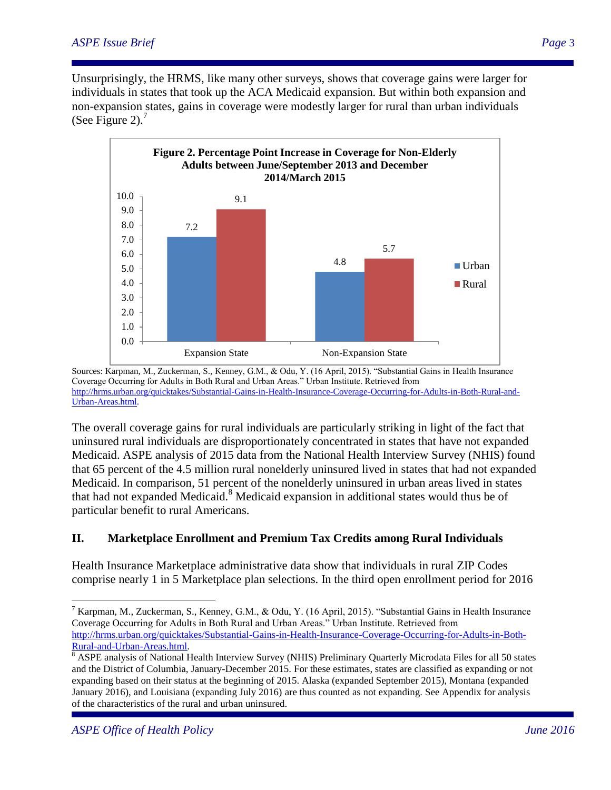Unsurprisingly, the HRMS, like many other surveys, shows that coverage gains were larger for individuals in states that took up the ACA Medicaid expansion. But within both expansion and non-expansion states, gains in coverage were modestly larger for rural than urban individuals (See Figure 2).<sup>7</sup>



Sources: Karpman, M., Zuckerman, S., Kenney, G.M., & Odu, Y. (16 April, 2015). "Substantial Gains in Health Insurance Coverage Occurring for Adults in Both Rural and Urban Areas." Urban Institute. Retrieved from [http://hrms.urban.org/quicktakes/Substantial-Gains-in-Health-Insurance-Coverage-Occurring-for-Adults-in-Both-Rural-and-](http://hrms.urban.org/quicktakes/Substantial-Gains-in-Health-Insurance-Coverage-Occurring-for-Adults-in-Both-Rural-and-Urban-Areas.html)[Urban-Areas.html.](http://hrms.urban.org/quicktakes/Substantial-Gains-in-Health-Insurance-Coverage-Occurring-for-Adults-in-Both-Rural-and-Urban-Areas.html)

The overall coverage gains for rural individuals are particularly striking in light of the fact that uninsured rural individuals are disproportionately concentrated in states that have not expanded Medicaid. ASPE analysis of 2015 data from the National Health Interview Survey (NHIS) found that 65 percent of the 4.5 million rural nonelderly uninsured lived in states that had not expanded Medicaid. In comparison, 51 percent of the nonelderly uninsured in urban areas lived in states that had not expanded Medicaid.<sup>8</sup> Medicaid expansion in additional states would thus be of particular benefit to rural Americans.

# **II. Marketplace Enrollment and Premium Tax Credits among Rural Individuals**

Health Insurance Marketplace administrative data show that individuals in rural ZIP Codes comprise nearly 1 in 5 Marketplace plan selections. In the third open enrollment period for 2016

 $\overline{a}$ 

<sup>&</sup>lt;sup>7</sup> Karpman, M., Zuckerman, S., Kenney, G.M., & Odu, Y. (16 April, 2015). "Substantial Gains in Health Insurance Coverage Occurring for Adults in Both Rural and Urban Areas." Urban Institute. Retrieved from [http://hrms.urban.org/quicktakes/Substantial-Gains-in-Health-Insurance-Coverage-Occurring-for-Adults-in-Both-](http://hrms.urban.org/quicktakes/Substantial-Gains-in-Health-Insurance-Coverage-Occurring-for-Adults-in-Both-Rural-and-Urban-Areas.html)[Rural-and-Urban-Areas.html.](http://hrms.urban.org/quicktakes/Substantial-Gains-in-Health-Insurance-Coverage-Occurring-for-Adults-in-Both-Rural-and-Urban-Areas.html)

<sup>&</sup>lt;sup>8</sup> ASPE analysis of National Health Interview Survey (NHIS) Preliminary Quarterly Microdata Files for all 50 states and the District of Columbia, January-December 2015. For these estimates, states are classified as expanding or not expanding based on their status at the beginning of 2015. Alaska (expanded September 2015), Montana (expanded January 2016), and Louisiana (expanding July 2016) are thus counted as not expanding. See Appendix for analysis of the characteristics of the rural and urban uninsured.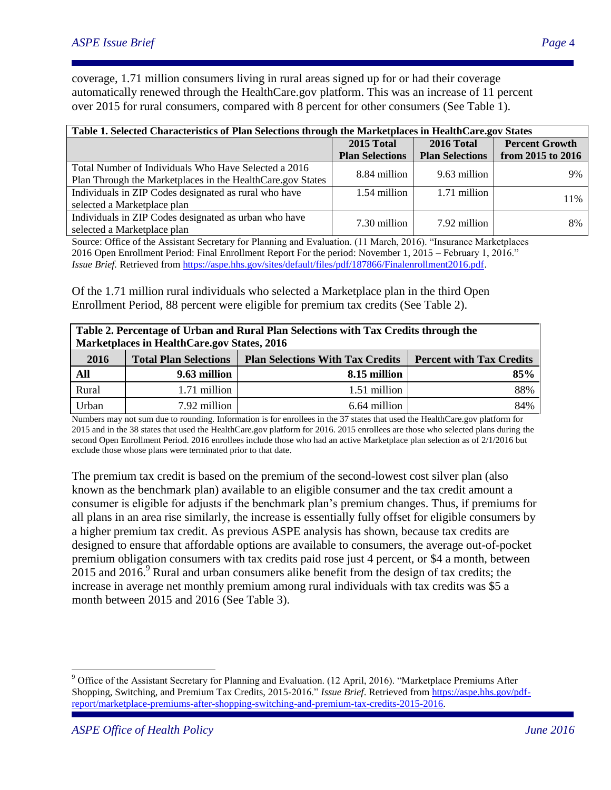coverage, 1.71 million consumers living in rural areas signed up for or had their coverage automatically renewed through the HealthCare.gov platform. This was an increase of 11 percent over 2015 for rural consumers, compared with 8 percent for other consumers (See Table 1).

| Table 1. Selected Characteristics of Plan Selections through the Marketplaces in HealthCare.gov States |                        |                        |                       |
|--------------------------------------------------------------------------------------------------------|------------------------|------------------------|-----------------------|
|                                                                                                        | 2015 Total             | 2016 Total             | <b>Percent Growth</b> |
|                                                                                                        | <b>Plan Selections</b> | <b>Plan Selections</b> | from 2015 to 2016     |
| Total Number of Individuals Who Have Selected a 2016                                                   | 8.84 million           | 9.63 million           | 9%                    |
| Plan Through the Marketplaces in the HealthCare.gov States                                             |                        |                        |                       |
| Individuals in ZIP Codes designated as rural who have                                                  | 1.54 million           | 1.71 million           | 11%                   |
| selected a Marketplace plan                                                                            |                        |                        |                       |
| Individuals in ZIP Codes designated as urban who have                                                  | 7.30 million           | 7.92 million           | 8%                    |
| selected a Marketplace plan                                                                            |                        |                        |                       |

Source: Office of the Assistant Secretary for Planning and Evaluation. (11 March, 2016). "Insurance Marketplaces 2016 Open Enrollment Period: Final Enrollment Report For the period: November 1, 2015 – February 1, 2016." *Issue Brief.* Retrieved from [https://aspe.hhs.gov/sites/default/files/pdf/187866/Finalenrollment2016.pdf.](https://aspe.hhs.gov/sites/default/files/pdf/187866/Finalenrollment2016.pdf)

Of the 1.71 million rural individuals who selected a Marketplace plan in the third Open Enrollment Period, 88 percent were eligible for premium tax credits (See Table 2).

| Table 2. Percentage of Urban and Rural Plan Selections with Tax Credits through the<br>Marketplaces in HealthCare.gov States, 2016 |                              |                                         |                                 |
|------------------------------------------------------------------------------------------------------------------------------------|------------------------------|-----------------------------------------|---------------------------------|
| 2016                                                                                                                               | <b>Total Plan Selections</b> | <b>Plan Selections With Tax Credits</b> | <b>Percent with Tax Credits</b> |
| All                                                                                                                                | 9.63 million                 | 8.15 million                            | 85%                             |
| Rural                                                                                                                              | 1.71 million                 | 1.51 million                            | 88%                             |
| Urban                                                                                                                              | 7.92 million                 | 6.64 million                            | 84%                             |

Numbers may not sum due to rounding. Information is for enrollees in the 37 states that used the HealthCare.gov platform for 2015 and in the 38 states that used the HealthCare.gov platform for 2016. 2015 enrollees are those who selected plans during the second Open Enrollment Period. 2016 enrollees include those who had an active Marketplace plan selection as of 2/1/2016 but exclude those whose plans were terminated prior to that date.

The premium tax credit is based on the premium of the second-lowest cost silver plan (also known as the benchmark plan) available to an eligible consumer and the tax credit amount a consumer is eligible for adjusts if the benchmark plan's premium changes. Thus, if premiums for all plans in an area rise similarly, the increase is essentially fully offset for eligible consumers by a higher premium tax credit. As previous ASPE analysis has shown, because tax credits are designed to ensure that affordable options are available to consumers, the average out-of-pocket premium obligation consumers with tax credits paid rose just 4 percent, or \$4 a month, between 2015 and 2016.<sup>9</sup> Rural and urban consumers alike benefit from the design of tax credits; the increase in average net monthly premium among rural individuals with tax credits was \$5 a month between 2015 and 2016 (See Table 3).

 $\overline{a}$ 

<sup>&</sup>lt;sup>9</sup> Office of the Assistant Secretary for Planning and Evaluation. (12 April, 2016). "Marketplace Premiums After Shopping, Switching, and Premium Tax Credits, 2015-2016." *Issue Brief*. Retrieved from [https://aspe.hhs.gov/pdf](https://aspe.hhs.gov/pdf-report/marketplace-premiums-after-shopping-switching-and-premium-tax-credits-2015-2016)[report/marketplace-premiums-after-shopping-switching-and-premium-tax-credits-2015-2016.](https://aspe.hhs.gov/pdf-report/marketplace-premiums-after-shopping-switching-and-premium-tax-credits-2015-2016)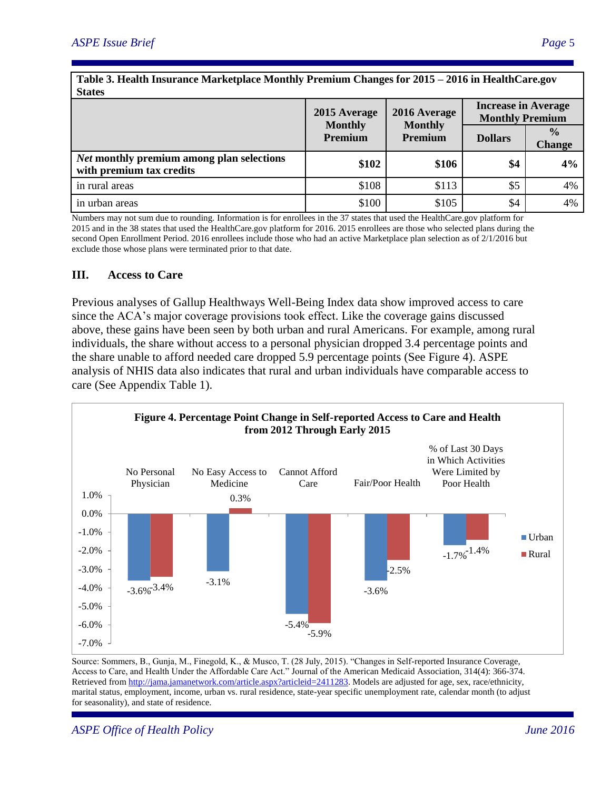| Table 3. Health Insurance Marketplace Monthly Premium Changes for 2015 – 2016 in HealthCare.gov<br><b>States</b> |                                |                                |                                                      |                                |
|------------------------------------------------------------------------------------------------------------------|--------------------------------|--------------------------------|------------------------------------------------------|--------------------------------|
|                                                                                                                  | 2015 Average<br><b>Monthly</b> | 2016 Average<br><b>Monthly</b> | <b>Increase in Average</b><br><b>Monthly Premium</b> |                                |
|                                                                                                                  | <b>Premium</b>                 | Premium                        | <b>Dollars</b>                                       | $\frac{0}{0}$<br><b>Change</b> |
| <b>Net monthly premium among plan selections</b><br>with premium tax credits                                     | \$102                          | \$106                          | \$4                                                  | 4%                             |
| in rural areas                                                                                                   | \$108                          | \$113                          | \$5                                                  | 4%                             |
| in urban areas                                                                                                   | \$100                          | \$105                          | \$4                                                  | 4%                             |

Numbers may not sum due to rounding. Information is for enrollees in the 37 states that used the HealthCare.gov platform for 2015 and in the 38 states that used the HealthCare.gov platform for 2016. 2015 enrollees are those who selected plans during the second Open Enrollment Period. 2016 enrollees include those who had an active Marketplace plan selection as of 2/1/2016 but exclude those whose plans were terminated prior to that date.

#### **III. Access to Care**

Previous analyses of Gallup Healthways Well-Being Index data show improved access to care since the ACA's major coverage provisions took effect. Like the coverage gains discussed above, these gains have been seen by both urban and rural Americans. For example, among rural individuals, the share without access to a personal physician dropped 3.4 percentage points and the share unable to afford needed care dropped 5.9 percentage points (See Figure 4). ASPE analysis of NHIS data also indicates that rural and urban individuals have comparable access to care (See Appendix Table 1).



Source: Sommers, B., Gunja, M., Finegold, K., & Musco, T. (28 July, 2015). "Changes in Self-reported Insurance Coverage, Access to Care, and Health Under the Affordable Care Act." Journal of the American Medicaid Association, 314(4): 366-374. Retrieved from [http://jama.jamanetwork.com/article.aspx?articleid=2411283.](http://jama.jamanetwork.com/article.aspx?articleid=2411283) Models are adjusted for age, sex, race/ethnicity, marital status, employment, income, urban vs. rural residence, state-year specific unemployment rate, calendar month (to adjust for seasonality), and state of residence.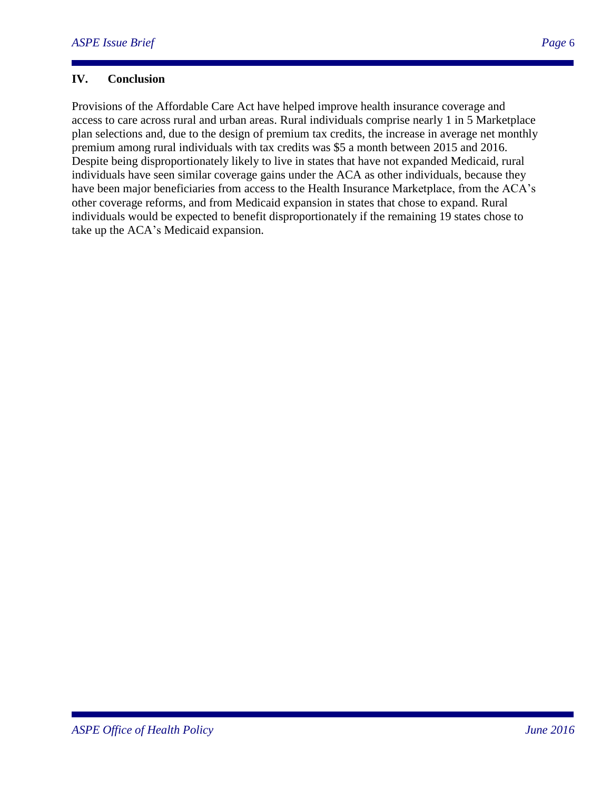### **IV. Conclusion**

Provisions of the Affordable Care Act have helped improve health insurance coverage and access to care across rural and urban areas. Rural individuals comprise nearly 1 in 5 Marketplace plan selections and, due to the design of premium tax credits, the increase in average net monthly premium among rural individuals with tax credits was \$5 a month between 2015 and 2016. Despite being disproportionately likely to live in states that have not expanded Medicaid, rural individuals have seen similar coverage gains under the ACA as other individuals, because they have been major beneficiaries from access to the Health Insurance Marketplace, from the ACA's other coverage reforms, and from Medicaid expansion in states that chose to expand. Rural individuals would be expected to benefit disproportionately if the remaining 19 states chose to take up the ACA's Medicaid expansion.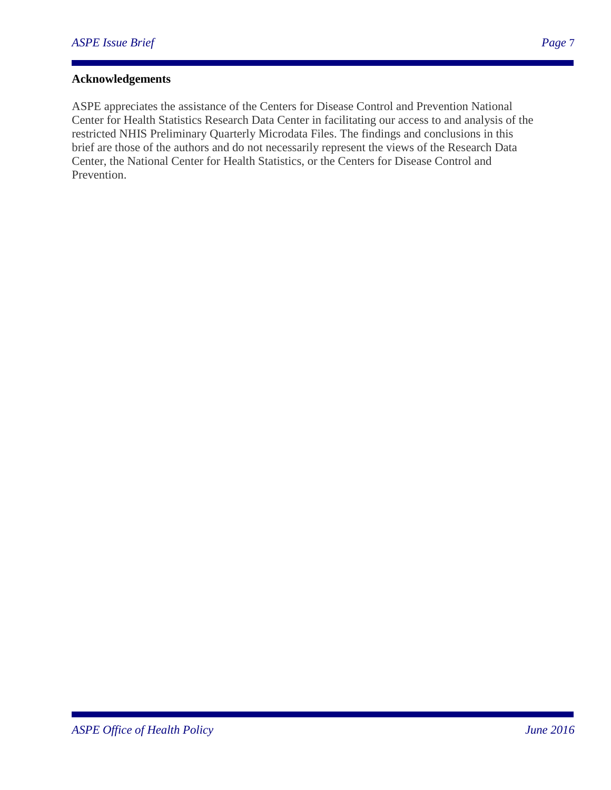# **Acknowledgements**

ASPE appreciates the assistance of the Centers for Disease Control and Prevention National Center for Health Statistics Research Data Center in facilitating our access to and analysis of the restricted NHIS Preliminary Quarterly Microdata Files. The findings and conclusions in this brief are those of the authors and do not necessarily represent the views of the Research Data Center, the National Center for Health Statistics, or the Centers for Disease Control and Prevention.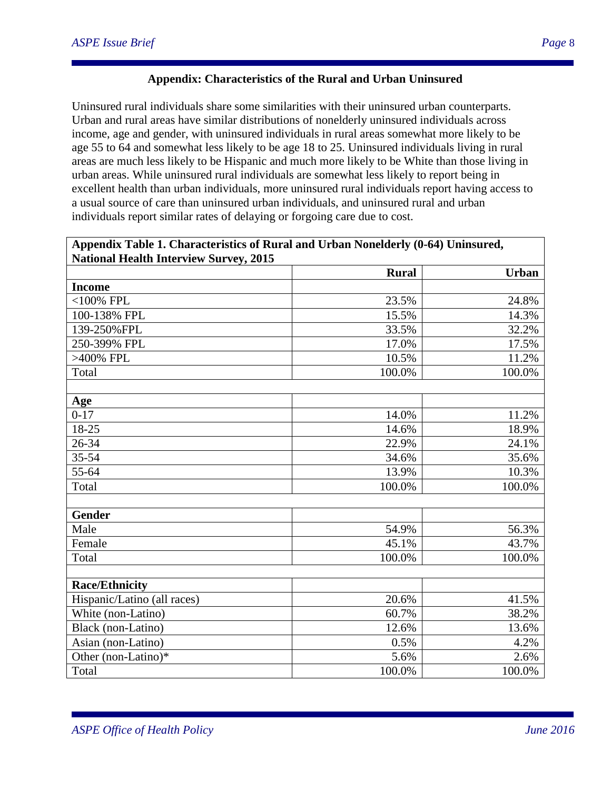#### **Appendix: Characteristics of the Rural and Urban Uninsured**

Uninsured rural individuals share some similarities with their uninsured urban counterparts. Urban and rural areas have similar distributions of nonelderly uninsured individuals across income, age and gender, with uninsured individuals in rural areas somewhat more likely to be age 55 to 64 and somewhat less likely to be age 18 to 25. Uninsured individuals living in rural areas are much less likely to be Hispanic and much more likely to be White than those living in urban areas. While uninsured rural individuals are somewhat less likely to report being in excellent health than urban individuals, more uninsured rural individuals report having access to a usual source of care than uninsured urban individuals, and uninsured rural and urban individuals report similar rates of delaying or forgoing care due to cost.

#### **Appendix Table 1. Characteristics of Rural and Urban Nonelderly (0-64) Uninsured, National Health Interview Survey, 2015**

| $\alpha$ anonal fically filter view but vey, 2015 |              |              |
|---------------------------------------------------|--------------|--------------|
|                                                   | <b>Rural</b> | <b>Urban</b> |
| <b>Income</b>                                     |              |              |
| $<$ 100% FPL                                      | 23.5%        | 24.8%        |
| 100-138% FPL                                      | 15.5%        | 14.3%        |
| 139-250%FPL                                       | 33.5%        | 32.2%        |
| 250-399% FPL                                      | 17.0%        | 17.5%        |
| >400% FPL                                         | 10.5%        | 11.2%        |
| Total                                             | 100.0%       | 100.0%       |
|                                                   |              |              |
| Age                                               |              |              |
| $0 - 17$                                          | 14.0%        | 11.2%        |
| 18-25                                             | 14.6%        | 18.9%        |
| 26-34                                             | 22.9%        | 24.1%        |
| 35-54                                             | 34.6%        | 35.6%        |
| 55-64                                             | 13.9%        | 10.3%        |
| Total                                             | 100.0%       | 100.0%       |
|                                                   |              |              |
| <b>Gender</b>                                     |              |              |
| Male                                              | 54.9%        | 56.3%        |
| Female                                            | 45.1%        | 43.7%        |
| Total                                             | 100.0%       | 100.0%       |
|                                                   |              |              |
| <b>Race/Ethnicity</b>                             |              |              |
| Hispanic/Latino (all races)                       | 20.6%        | 41.5%        |
| White (non-Latino)                                | 60.7%        | 38.2%        |
| Black (non-Latino)                                | 12.6%        | 13.6%        |
| Asian (non-Latino)                                | 0.5%         | 4.2%         |
| Other (non-Latino)*                               | 5.6%         | 2.6%         |
| Total                                             | 100.0%       | 100.0%       |